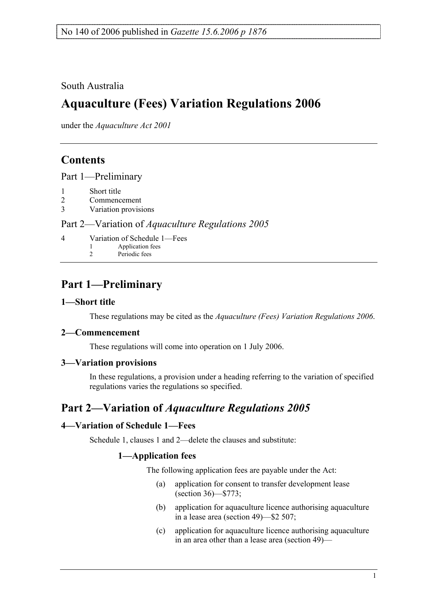## South Australia

# **Aquaculture (Fees) Variation Regulations 2006**

under the *Aquaculture Act 2001*

# **Contents**

Part 1—Preliminary

- 1 Short title
- 2 Commencement
- 3 Variation provisions

#### Part 2—Variation of *Aquaculture Regulations 2005*

- 4 Variation of Schedule 1—Fees Application fees
	- 2 Periodic fees

# **Part 1—Preliminary**

### **1—Short title**

These regulations may be cited as the *Aquaculture (Fees) Variation Regulations 2006*.

### **2—Commencement**

These regulations will come into operation on 1 July 2006.

#### **3—Variation provisions**

In these regulations, a provision under a heading referring to the variation of specified regulations varies the regulations so specified.

# **Part 2—Variation of** *Aquaculture Regulations 2005*

#### **4—Variation of Schedule 1—Fees**

Schedule 1, clauses 1 and 2—delete the clauses and substitute:

### **1—Application fees**

The following application fees are payable under the Act:

- (a) application for consent to transfer development lease (section 36)—\$773;
- (b) application for aquaculture licence authorising aquaculture in a lease area (section 49)—\$2 507;
- (c) application for aquaculture licence authorising aquaculture in an area other than a lease area (section 49)—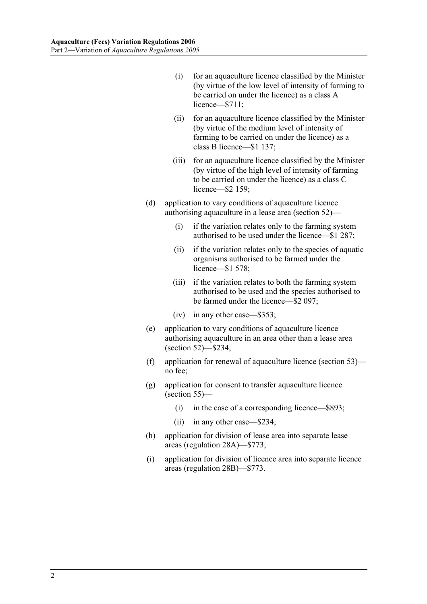- (i) for an aquaculture licence classified by the Minister (by virtue of the low level of intensity of farming to be carried on under the licence) as a class A licence—\$711:
- (ii) for an aquaculture licence classified by the Minister (by virtue of the medium level of intensity of farming to be carried on under the licence) as a class B licence—\$1 137;
- (iii) for an aquaculture licence classified by the Minister (by virtue of the high level of intensity of farming to be carried on under the licence) as a class C licence—\$2 159;
- (d) application to vary conditions of aquaculture licence authorising aquaculture in a lease area (section 52)—
	- (i) if the variation relates only to the farming system authorised to be used under the licence—\$1 287;
	- (ii) if the variation relates only to the species of aquatic organisms authorised to be farmed under the licence—\$1 578;
	- (iii) if the variation relates to both the farming system authorised to be used and the species authorised to be farmed under the licence—\$2 097;
	- (iv) in any other case—\$353;
- (e) application to vary conditions of aquaculture licence authorising aquaculture in an area other than a lease area (section 52)—\$234;
- (f) application for renewal of aquaculture licence (section 53) no fee;
- (g) application for consent to transfer aquaculture licence (section 55)—
	- (i) in the case of a corresponding licence—\$893;
	- (ii) in any other case—\$234;
- (h) application for division of lease area into separate lease areas (regulation 28A)—\$773;
- (i) application for division of licence area into separate licence areas (regulation 28B)—\$773.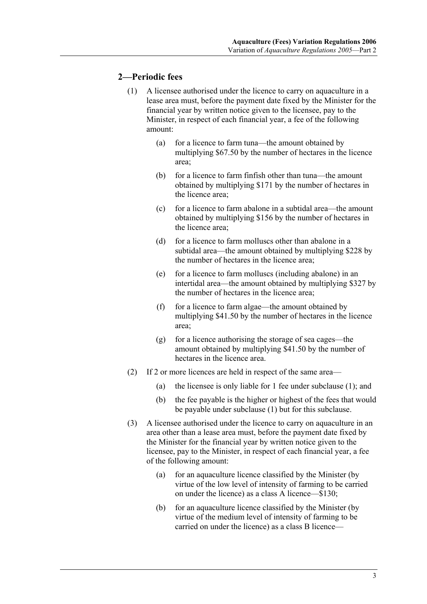#### **2—Periodic fees**

- (1) A licensee authorised under the licence to carry on aquaculture in a lease area must, before the payment date fixed by the Minister for the financial year by written notice given to the licensee, pay to the Minister, in respect of each financial year, a fee of the following amount:
	- (a) for a licence to farm tuna—the amount obtained by multiplying \$67.50 by the number of hectares in the licence area;
	- (b) for a licence to farm finfish other than tuna—the amount obtained by multiplying \$171 by the number of hectares in the licence area;
	- (c) for a licence to farm abalone in a subtidal area—the amount obtained by multiplying \$156 by the number of hectares in the licence area;
	- (d) for a licence to farm molluscs other than abalone in a subtidal area—the amount obtained by multiplying \$228 by the number of hectares in the licence area;
	- (e) for a licence to farm molluscs (including abalone) in an intertidal area—the amount obtained by multiplying \$327 by the number of hectares in the licence area;
	- (f) for a licence to farm algae—the amount obtained by multiplying \$41.50 by the number of hectares in the licence area;
	- (g) for a licence authorising the storage of sea cages—the amount obtained by multiplying \$41.50 by the number of hectares in the licence area.
- (2) If 2 or more licences are held in respect of the same area—
	- (a) the licensee is only liable for 1 fee under subclause (1); and
	- (b) the fee payable is the higher or highest of the fees that would be payable under subclause (1) but for this subclause.
- (3) A licensee authorised under the licence to carry on aquaculture in an area other than a lease area must, before the payment date fixed by the Minister for the financial year by written notice given to the licensee, pay to the Minister, in respect of each financial year, a fee of the following amount:
	- (a) for an aquaculture licence classified by the Minister (by virtue of the low level of intensity of farming to be carried on under the licence) as a class A licence—\$130;
	- (b) for an aquaculture licence classified by the Minister (by virtue of the medium level of intensity of farming to be carried on under the licence) as a class B licence—